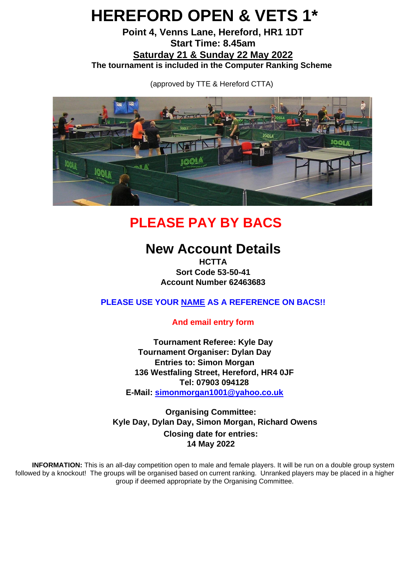# **HEREFORD OPEN & VETS 1\***

**Point 4, Venns Lane, Hereford, HR1 1DT Start Time: 8.45am Saturday 21 & Sunday 22 May 2022 The tournament is included in the Computer Ranking Scheme**

(approved by TTE & Hereford CTTA)



## **PLEASE PAY BY BACS**

### **New Account Details**

**HCTTA Sort Code 53-50-41 Account Number 62463683**

**PLEASE USE YOUR NAME AS A REFERENCE ON BACS!!** 

**And email entry form** 

**Tournament Referee: Kyle Day Tournament Organiser: Dylan Day Entries to: Simon Morgan 136 Westfaling Street, Hereford, HR4 0JF Tel: 07903 094128 E-Mail: simonmorgan1001@yahoo.co.uk**

**Organising Committee: Kyle Day, Dylan Day, Simon Morgan, Richard Owens Closing date for entries: 14 May 2022**

**INFORMATION:** This is an all-day competition open to male and female players. It will be run on a double group system followed by a knockout! The groups will be organised based on current ranking. Unranked players may be placed in a higher group if deemed appropriate by the Organising Committee.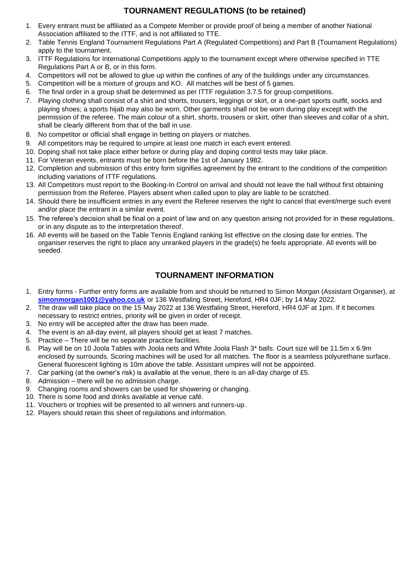#### **TOURNAMENT REGULATIONS (to be retained)**

- 1. Every entrant must be affiliated as a Compete Member or provide proof of being a member of another National Association affiliated to the ITTF, and is not affiliated to TTE.
- 2. Table Tennis England Tournament Regulations Part A (Regulated Competitions) and Part B (Tournament Regulations) apply to the tournament.
- 3. ITTF Regulations for International Competitions apply to the tournament except where otherwise specified in TTE Regulations Part A or B, or in this form.
- 4. Competitors will not be allowed to glue up within the confines of any of the buildings under any circumstances.
- 5. Competition will be a mixture of groups and KO. All matches will be best of 5 games.
- 6. The final order in a group shall be determined as per ITTF regulation 3.7.5 for group competitions.
- 7. Playing clothing shall consist of a shirt and shorts, trousers, leggings or skirt, or a one-part sports outfit, socks and playing shoes; a sports hijab may also be worn. Other garments shall not be worn during play except with the permission of the referee. The main colour of a shirt, shorts, trousers or skirt, other than sleeves and collar of a shirt, shall be clearly different from that of the ball in use.
- 8. No competitor or official shall engage in betting on players or matches.
- 9. All competitors may be required to umpire at least one match in each event entered.
- 10. Doping shall not take place either before or during play and doping control tests may take place.
- 11. For Veteran events, entrants must be born before the 1st of January 1982.
- 12. Completion and submission of this entry form signifies agreement by the entrant to the conditions of the competition including variations of ITTF regulations.
- 13. All Competitors must report to the Booking-In Control on arrival and should not leave the hall without first obtaining permission from the Referee. Players absent when called upon to play are liable to be scratched.
- 14. Should there be insufficient entries in any event the Referee reserves the right to cancel that event/merge such event and/or place the entrant in a similar event.
- 15. The referee's decision shall be final on a point of law and on any question arising not provided for in these regulations, or in any dispute as to the interpretation thereof.
- 16. All events will be based on the Table Tennis England ranking list effective on the closing date for entries. The organiser reserves the right to place any unranked players in the grade(s) he feels appropriate. All events will be seeded.

#### **TOURNAMENT INFORMATION**

- 1. Entry forms Further entry forms are available from and should be returned to Simon Morgan (Assistant Organiser), at **simonmorgan1001@yahoo.co.uk** or 136 Westfaling Street, Hereford, HR4 0JF; by 14 May 2022.
- 2. The draw will take place on the 15 May 2022 at 136 Westfaling Street, Hereford, HR4 0JF at 1pm. If it becomes necessary to restrict entries, priority will be given in order of receipt.
- 3. No entry will be accepted after the draw has been made.
- 4. The event is an all-day event, all players should get at least 7 matches.
- 5. Practice There will be no separate practice facilities.
- 6. Play will be on 10 Joola Tables with Joola nets and White Joola Flash 3\* balls. Court size will be 11.5m x 6.9m enclosed by surrounds. Scoring machines will be used for all matches. The floor is a seamless polyurethane surface. General fluorescent lighting is 10m above the table. Assistant umpires will not be appointed.
- 7. Car parking (at the owner's risk) is available at the venue, there is an all-day charge of £5.
- 8. Admission there will be no admission charge.
- 9. Changing rooms and showers can be used for showering or changing.
- 10. There is some food and drinks available at venue café.
- 11. Vouchers or trophies will be presented to all winners and runners-up.
- 12. Players should retain this sheet of regulations and information.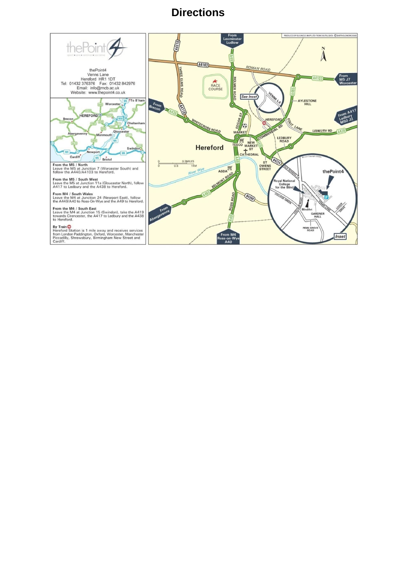### **Directions**